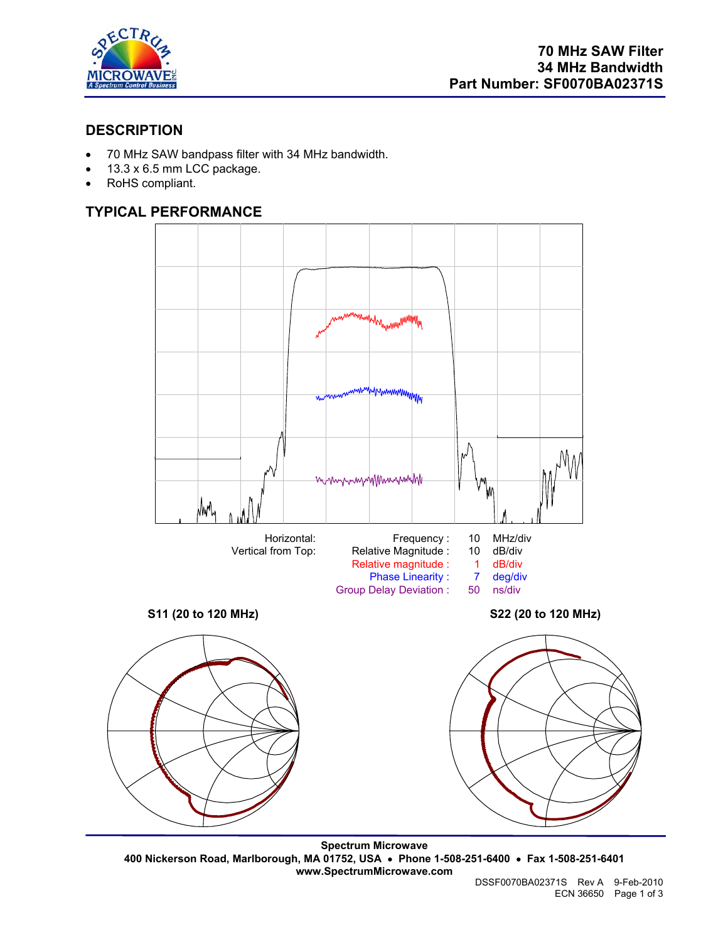

# **DESCRIPTION**

- 70 MHz SAW bandpass filter with 34 MHz bandwidth.
- 13.3 x 6.5 mm LCC package.
- RoHS compliant.

# **TYPICAL PERFORMANCE**



**Spectrum Microwave 400 Nickerson Road, Marlborough, MA 01752, USA** • **Phone 1-508-251-6400** • **Fax 1-508-251-6401 www.SpectrumMicrowave.com**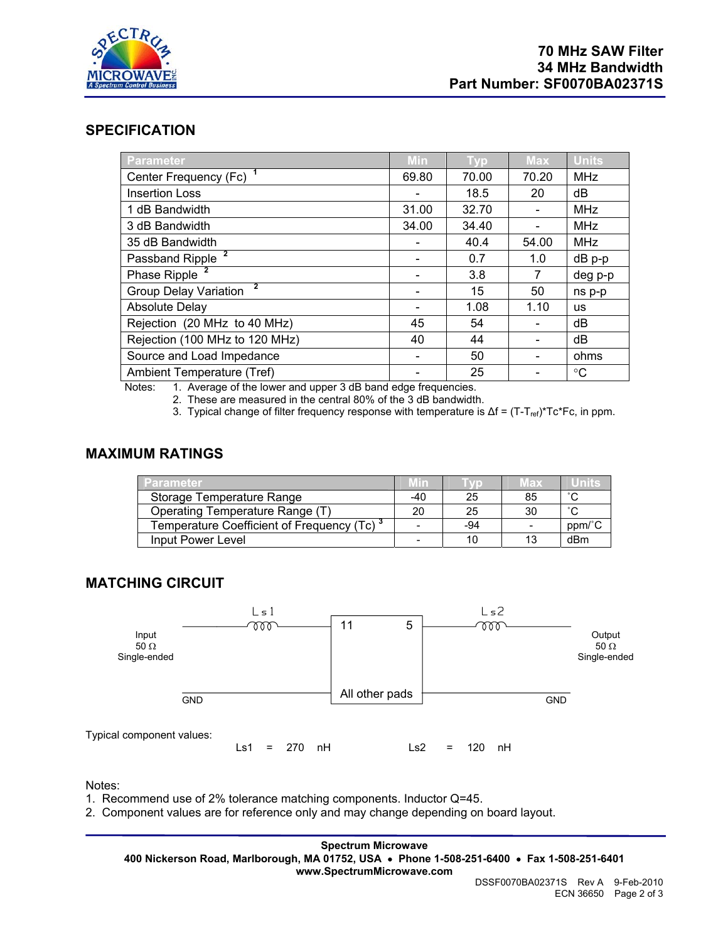

## **SPECIFICATION**

| <b>Parameter</b>                   | Min   | Typ   | <b>Max</b> | <b>Units</b> |
|------------------------------------|-------|-------|------------|--------------|
| Center Frequency (Fc) <sup>1</sup> | 69.80 | 70.00 | 70.20      | <b>MHz</b>   |
| <b>Insertion Loss</b>              |       | 18.5  | 20         | dB           |
| 1 dB Bandwidth                     | 31.00 | 32.70 |            | <b>MHz</b>   |
| 3 dB Bandwidth                     | 34.00 | 34.40 |            | <b>MHz</b>   |
| 35 dB Bandwidth                    |       | 40.4  | 54.00      | <b>MHz</b>   |
| Passband Ripple <sup>2</sup>       |       | 0.7   | 1.0        | $dB$ $p-p$   |
| Phase Ripple <sup>2</sup>          |       | 3.8   | 7          | deg p-p      |
| <b>Group Delay Variation</b>       |       | 15    | 50         | ns p-p       |
| <b>Absolute Delay</b>              |       | 1.08  | 1.10       | <b>us</b>    |
| Rejection (20 MHz to 40 MHz)       | 45    | 54    |            | dB           |
| Rejection (100 MHz to 120 MHz)     | 40    | 44    |            | dB           |
| Source and Load Impedance          |       | 50    |            | ohms         |
| Ambient Temperature (Tref)         |       | 25    |            | $^{\circ}C$  |

Notes: 1. Average of the lower and upper 3 dB band edge frequencies.

2. These are measured in the central 80% of the 3 dB bandwidth.

3. Typical change of filter frequency response with temperature is Δf = (T-T<sub>ref</sub>)\*Tc\*Fc, in ppm.

## **MAXIMUM RATINGS**

| <b>Parameter</b>                                       | <u>Minz</u> |     | Max | Units                                 |
|--------------------------------------------------------|-------------|-----|-----|---------------------------------------|
| Storage Temperature Range                              | -40         | 25  | 85  | $\sim$                                |
| Operating Temperature Range (T)                        | 20          | 25  | 30  | $\sim$                                |
| Temperature Coefficient of Frequency (Tc) <sup>3</sup> |             | -94 |     | $ppm$ <sup><math>\circ</math></sup> C |
| Input Power Level                                      |             |     | 13  | dBm                                   |

#### **MATCHING CIRCUIT**



Notes:

- 1. Recommend use of 2% tolerance matching components. Inductor Q=45.
- 2. Component values are for reference only and may change depending on board layout.